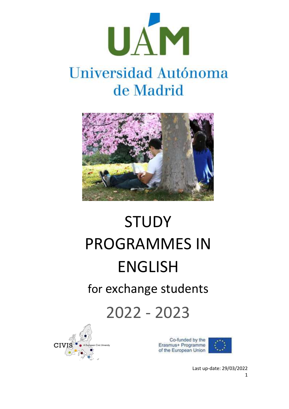

## Universidad Autónoma de Madrid



# STUDY PROGRAMMES IN ENGLISH for exchange students

2022 - 2023



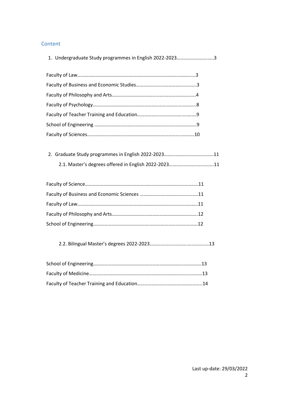#### Content

| 1. Undergraduate Study programmes in English 2022-20233 |  |
|---------------------------------------------------------|--|
|                                                         |  |
|                                                         |  |
|                                                         |  |
|                                                         |  |
|                                                         |  |
|                                                         |  |
|                                                         |  |
|                                                         |  |
|                                                         |  |
|                                                         |  |
|                                                         |  |
|                                                         |  |
|                                                         |  |
|                                                         |  |
|                                                         |  |
|                                                         |  |
|                                                         |  |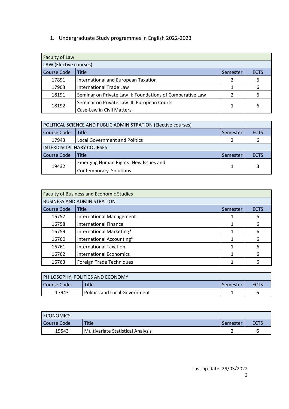1. Undergraduate Study programmes in English 2022-2023

| Faculty of Law         |                                                           |          |             |
|------------------------|-----------------------------------------------------------|----------|-------------|
| LAW (Elective courses) |                                                           |          |             |
| <b>Course Code</b>     | <b>Title</b>                                              | Semester | <b>ECTS</b> |
| 17891                  | International and European Taxation                       |          | 6           |
| 17903                  | <b>International Trade Law</b>                            |          | 6           |
| 18191                  | Seminar on Private Law II: Foundations of Comparative Law |          | 6           |
| 18192                  | Seminar on Private Law III: European Courts               |          | 6           |
|                        | Case-Law in Civil Matters                                 |          |             |

|                           | POLITICAL SCIENCE AND PUBLIC ADMINISTRATION (Elective courses) |          |             |
|---------------------------|----------------------------------------------------------------|----------|-------------|
| Course Code               | <b>Title</b>                                                   | Semester | <b>ECTS</b> |
| 17943                     | <b>Local Government and Politics</b>                           |          | 6           |
| INTERDISCIPLINARY COURSES |                                                                |          |             |
| Course Code               | <b>Title</b>                                                   | Semester | <b>ECTS</b> |
| 19432                     | Emerging Human Rights: New Issues and                          |          | 3           |
|                           | Contemporary Solutions                                         |          |             |

| <b>Faculty of Business and Economic Studies</b> |                                    |          |             |
|-------------------------------------------------|------------------------------------|----------|-------------|
|                                                 | <b>BUSINESS AND ADMINISTRATION</b> |          |             |
| <b>Course Code</b>                              | <b>Title</b>                       | Semester | <b>ECTS</b> |
| 16757                                           | <b>International Management</b>    |          | 6           |
| 16758                                           | <b>International Finance</b>       |          | 6           |
| 16759                                           | International Marketing*           |          | 6           |
| 16760                                           | International Accounting*          |          | 6           |
| 16761                                           | <b>International Taxation</b>      |          | 6           |
| 16762                                           | <b>International Economics</b>     |          | 6           |
| 16763                                           | Foreign Trade Techniques           |          | 6           |

| PHILOSOPHY, POLITICS AND ECONOMY |                                 |          |   |
|----------------------------------|---------------------------------|----------|---|
| l Course Code                    | Title                           | Semester |   |
| 17943                            | l Politics and Local Government |          | h |

| <b>ECONOMICS</b> |                                          |            |      |
|------------------|------------------------------------------|------------|------|
| l Course Code    | Title                                    | . Semester | ECTS |
| 19543            | <b>Multivariate Statistical Analysis</b> |            |      |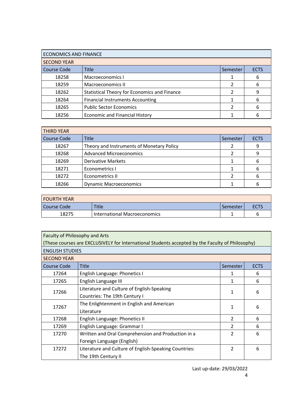| <b>ECONOMICS AND FINANCE</b> |                                                     |          |             |
|------------------------------|-----------------------------------------------------|----------|-------------|
| <b>SECOND YEAR</b>           |                                                     |          |             |
| <b>Course Code</b>           | <b>Title</b>                                        | Semester | <b>ECTS</b> |
| 18258                        | Macroeconomics I                                    |          | 6           |
| 18259                        | Macroeconomics II                                   |          | 6           |
| 18262                        | <b>Statistical Theory for Economics and Finance</b> |          | 9           |
| 18264                        | <b>Financial Instruments Accounting</b>             |          | 6           |
| 18265                        | <b>Public Sector Economics</b>                      |          | 6           |
| 18256                        | <b>Economic and Financial History</b>               |          |             |

| <b>THIRD YEAR</b>  |                                           |          |             |
|--------------------|-------------------------------------------|----------|-------------|
| <b>Course Code</b> | <b>Title</b>                              | Semester | <b>ECTS</b> |
| 18267              | Theory and Instruments of Monetary Policy |          | 9           |
| 18268              | <b>Advanced Microeconomics</b>            |          | 9           |
| 18269              | <b>Derivative Markets</b>                 |          | 6           |
| 18271              | Econometrics I                            |          | 6           |
| 18272              | Econometrics II                           |          | 6           |
| 18266              | <b>Dynamic Macroeconomics</b>             |          |             |

| I FOURTH YEAR |                              |          |      |
|---------------|------------------------------|----------|------|
| l Course Code | <b>Title</b>                 | Semester | ECTS |
| 18275         | International Macroeconomics |          |      |

| Faculty of Philosophy and Arts                                                                   |                                                       |                          |             |
|--------------------------------------------------------------------------------------------------|-------------------------------------------------------|--------------------------|-------------|
| (These courses are EXCLUSIVELY for International Students accepted by the Faculty of Philosophy) |                                                       |                          |             |
| <b>ENGLISH STUDIES</b>                                                                           |                                                       |                          |             |
| <b>SECOND YEAR</b>                                                                               |                                                       |                          |             |
| <b>Course Code</b>                                                                               | <b>Title</b>                                          | Semester                 | <b>ECTS</b> |
| 17264                                                                                            | English Language: Phonetics I                         | 1                        | 6           |
| 17265                                                                                            | English Language III                                  | 1                        | 6           |
| 17266                                                                                            | Literature and Culture of English-Speaking            | 1                        | 6           |
|                                                                                                  | Countries: The 19th Century I                         |                          |             |
| 17267                                                                                            | The Enlightenment in English and American             | 1                        | 6           |
|                                                                                                  | Literature                                            |                          |             |
| 17268                                                                                            | English Language: Phonetics II                        | $\overline{2}$           | 6           |
| 17269                                                                                            | English Language: Grammar I                           | 2                        | 6           |
| 17270                                                                                            | Written and Oral Comprehension and Production in a    | $\overline{\mathcal{L}}$ | 6           |
|                                                                                                  | Foreign Language (English)                            |                          |             |
| 17272                                                                                            | Literature and Culture of English-Speaking Countries: | 2                        | 6           |
|                                                                                                  | The 19th Century II                                   |                          |             |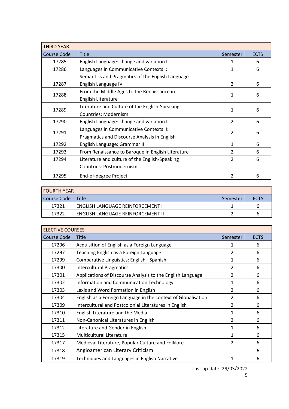| <b>THIRD YEAR</b>  |                                                   |                |             |
|--------------------|---------------------------------------------------|----------------|-------------|
| <b>Course Code</b> | <b>Title</b>                                      | Semester       | <b>ECTS</b> |
| 17285              | English Language: change and variation I          | 1              | 6           |
| 17286              | Languages in Communicative Contexts I:            | 1              | 6           |
|                    | Semantics and Pragmatics of the English Language  |                |             |
| 17287              | English Language IV                               | $\overline{2}$ | 6           |
| 17288              | From the Middle Ages to the Renaissance in        | 1              | 6           |
|                    | English Literature                                |                |             |
| 17289              | Literature and Culture of the English-Speaking    | 1              | 6           |
|                    | <b>Countries: Modernism</b>                       |                |             |
| 17290              | English Language: change and variation II         | $\mathcal{P}$  | 6           |
| 17291              | Languages in Communicative Contexts II:           | $\mathfrak{p}$ |             |
|                    | Pragmatics and Discourse Analysis in English      |                | 6           |
| 17292              | English Language: Grammar II                      | 1              | 6           |
| 17293              | From Renaissance to Baroque in English Literature | $\overline{2}$ | 6           |
| 17294              | Literature and culture of the English-Speaking    | $\overline{2}$ | 6           |
|                    | Countries: Postmodernism                          |                |             |
| 17295              | End-of-degree Project                             | 2              | 6           |

| I FOURTH YEAR |                                     |          |             |
|---------------|-------------------------------------|----------|-------------|
| l Course Code | l Title                             | Semester | <b>ECTS</b> |
| 17321         | I ENGLISH LANGUAGE REINFORCEMENT I  |          | ь           |
| 17322         | l ENGLISH LANGUAGE REINFORCEMENT II |          | h           |

| <b>ELECTIVE COURSES</b> |                                                               |                |             |
|-------------------------|---------------------------------------------------------------|----------------|-------------|
| <b>Course Code</b>      | <b>Title</b>                                                  | Semester       | <b>ECTS</b> |
| 17296                   | Acquisition of English as a Foreign Language                  | 1              | 6           |
| 17297                   | Teaching English as a Foreign Language                        | $\overline{2}$ | 6           |
| 17299                   | Comparative Linguistics: English - Spanish                    | $\mathbf{1}$   | 6           |
| 17300                   | <b>Intercultural Pragmatics</b>                               | $\overline{2}$ | 6           |
| 17301                   | Applications of Discourse Analysis to the English Language    | $\overline{2}$ | 6           |
| 17302                   | Information and Communication Technology                      | 1              | 6           |
| 17303                   | Lexis and Word Formation in English                           | $\overline{2}$ | 6           |
| 17304                   | English as a Foreign Language in the context of Globalisation | $\overline{2}$ | 6           |
| 17309                   | Intercultural and Postcolonial Literatures in English         | $\overline{2}$ | 6           |
| 17310                   | English Literature and the Media                              | 1              | 6           |
| 17311                   | Non-Canonical Literatures in English                          | $\overline{2}$ | 6           |
| 17312                   | Literature and Gender in English                              | 1              | 6           |
| 17315                   | <b>Multicultural Literature</b>                               | 1              | 6           |
| 17317                   | Medieval Literature, Popular Culture and Folklore             | $\mathcal{P}$  | 6           |
| 17318                   | Angloamerican Literary Criticism                              |                | 6           |
| 17319                   | Techniques and Languages in English Narrative                 | 1              | 6           |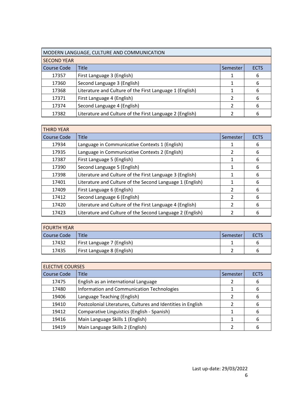| MODERN LANGUAGE, CULTURE AND COMMUNICATION |                                                          |   |   |  |
|--------------------------------------------|----------------------------------------------------------|---|---|--|
| <b>SECOND YEAR</b>                         |                                                          |   |   |  |
| <b>Course Code</b>                         | <b>Title</b><br><b>ECTS</b><br>Semester                  |   |   |  |
| 17357                                      | First Language 3 (English)                               |   | 6 |  |
| 17360                                      | Second Language 3 (English)                              |   | 6 |  |
| 17368                                      | Literature and Culture of the First Language 1 (English) |   | 6 |  |
| 17371                                      | First Language 4 (English)                               | າ | 6 |  |
| 17374                                      | Second Language 4 (English)                              |   | 6 |  |
| 17382                                      | Literature and Culture of the First Language 2 (English) |   | 6 |  |

| <b>THIRD YEAR</b>  |                                                           |                |             |
|--------------------|-----------------------------------------------------------|----------------|-------------|
| <b>Course Code</b> | <b>Title</b>                                              | Semester       | <b>ECTS</b> |
| 17934              | Language in Communicative Contexts 1 (English)            |                | 6           |
| 17935              | Language in Communicative Contexts 2 (English)            | 2              | 6           |
| 17387              | First Language 5 (English)                                |                | 6           |
| 17390              | Second Language 5 (English)                               |                | 6           |
| 17398              | Literature and Culture of the First Language 3 (English)  |                | 6           |
| 17401              | Literature and Culture of the Second Language 1 (English) |                | 6           |
| 17409              | First Language 6 (English)                                | $\mathcal{P}$  | 6           |
| 17412              | Second Language 6 (English)                               | $\mathcal{P}$  | 6           |
| 17420              | Literature and Culture of the First Language 4 (English)  | $\mathfrak{p}$ | 6           |
| 17423              | Literature and Culture of the Second Language 2 (English) | 2              | 6           |

| <b>FOURTH YEAR</b> |                            |          |             |
|--------------------|----------------------------|----------|-------------|
| Course Code        | Title                      | Semester | <b>ECTS</b> |
| 17432              | First Language 7 (English) |          | h           |
| 17435              | First Language 8 (English) |          | h           |

| <b>ELECTIVE COURSES</b> |                                                              |          |             |
|-------------------------|--------------------------------------------------------------|----------|-------------|
| <b>Course Code</b>      | Title                                                        | Semester | <b>ECTS</b> |
| 17475                   | English as an international Language                         | 2        | 6           |
| 17480                   | Information and Communication Technologies                   |          | 6           |
| 19406                   | Language Teaching (English)                                  |          | 6           |
| 19410                   | Postcolonial Literatures, Cultures and Identities in English | 2        | 6           |
| 19412                   | Comparative Linguistics (English - Spanish)                  |          | 6           |
| 19416                   | Main Language Skills 1 (English)                             |          | 6           |
| 19419                   | Main Language Skills 2 (English)                             |          |             |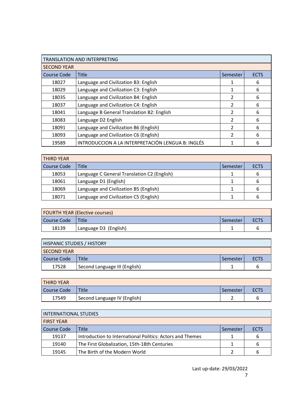| <b>TRANSLATION AND INTERPRETING</b> |                                                   |               |             |
|-------------------------------------|---------------------------------------------------|---------------|-------------|
| <b>SECOND YEAR</b>                  |                                                   |               |             |
| <b>Course Code</b>                  | Title                                             | Semester      | <b>ECTS</b> |
| 18027                               | Language and Civilization B3: English             |               | 6           |
| 18029                               | Language and Civilization C3: English             |               | 6           |
| 18035                               | Language and Civilization B4: English             | $\mathcal{L}$ | 6           |
| 18037                               | Language and Civilization C4: English             | $\mathcal{L}$ | 6           |
| 18041                               | Language B General Translation B2: English        | 2             | 6           |
| 18083                               | Language D2 English                               | 2             | 6           |
| 18091                               | Language and Civilization B6 (English)            | 2             | 6           |
| 18093                               | Language and Civilization C6 (English)            | 2             | 6           |
| 19589                               | INTRODUCCION A LA INTERPRETACIÓN LENGUA B: INGLÉS |               | 6           |

| <b>THIRD YEAR</b>  |                                             |          |             |
|--------------------|---------------------------------------------|----------|-------------|
| <b>Course Code</b> | <b>Title</b>                                | Semester | <b>ECTS</b> |
| 18053              | Language C General Translation C2 (English) |          | 6           |
| 18061              | Language D1 (English)                       |          | 6           |
| 18069              | Language and Civilization B5 (English)      |          | 6           |
| 18071              | Language and Civilization C5 (English)      |          | ь           |

| <b>FOURTH YEAR (Elective courses)</b>    |                       |  |  |
|------------------------------------------|-----------------------|--|--|
| Title<br>Course Code<br>ECTS<br>Semester |                       |  |  |
| 18139                                    | Language D3 (English) |  |  |

| <b>HISPANIC STUDIES / HISTORY</b> |                               |            |             |  |
|-----------------------------------|-------------------------------|------------|-------------|--|
| <b>SECOND YEAR</b>                |                               |            |             |  |
| Course Code                       | Title                         | l Semester | <b>ECTS</b> |  |
| 17528                             | Second Language III (English) |            | n           |  |

| <b>THIRD YEAR</b> |                               |          |             |
|-------------------|-------------------------------|----------|-------------|
| Course Code       | <b>Title</b>                  | Semester | <b>ECTS</b> |
| 17549             | 'Second Language IV (English) |          |             |

| INTERNATIONAL STUDIES |                                                           |          |             |
|-----------------------|-----------------------------------------------------------|----------|-------------|
| <b>FIRST YEAR</b>     |                                                           |          |             |
| Course Code           | <b>Title</b>                                              | Semester | <b>ECTS</b> |
| 19137                 | Introduction to International Politics: Actors and Themes |          | 6           |
| 19140                 | The First Globalization, 15th-18th Centuries              |          | 6           |
| 19145                 | The Birth of the Modern World                             |          | 6           |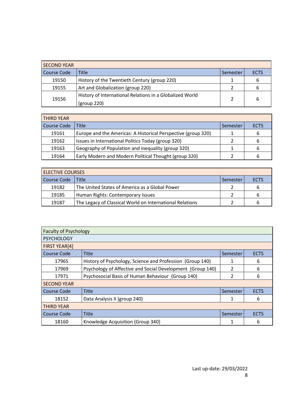| <b>SECOND YEAR</b> |                                                                         |          |             |
|--------------------|-------------------------------------------------------------------------|----------|-------------|
| Course Code        | Title                                                                   | Semester | <b>ECTS</b> |
| 19150              | History of the Twentieth Century (group 220)                            |          | b           |
| 19155              | Art and Globalization (group 220)                                       |          | ь           |
| 19156              | History of International Relations in a Globalized World<br>(group 220) |          | 6           |

| <b>THIRD YEAR</b> |                                                               |          |             |
|-------------------|---------------------------------------------------------------|----------|-------------|
| Course Code       | <b>Title</b>                                                  | Semester | <b>ECTS</b> |
| 19161             | Europe and the Americas: A Historical Perspective (group 320) |          | b           |
| 19162             | Issues in International Politics Today (group 320)            |          | ь           |
| 19163             | Geography of Population and inequality (group 320)            |          | 6           |
| 19164             | Early Modern and Modern Political Thought (group 320)         |          | ь           |

| <b>ELECTIVE COURSES</b> |                                                          |          |             |
|-------------------------|----------------------------------------------------------|----------|-------------|
| Course Code             | l Title                                                  | Semester | <b>ECTS</b> |
| 19182                   | The United States of America as a Global Power           |          |             |
| 19185                   | Human Rights: Contemporary Issues                        |          |             |
| 19187                   | The Legacy of Classical World on International Relations |          | h           |

| <b>Faculty of Psychology</b> |                                                            |          |             |
|------------------------------|------------------------------------------------------------|----------|-------------|
| <b>PSYCHOLOGY</b>            |                                                            |          |             |
| FIRST YEAR[4]                |                                                            |          |             |
| <b>Course Code</b>           | <b>Title</b>                                               | Semester | <b>ECTS</b> |
| 17965                        | History of Psychology, Science and Profession (Group 140)  |          | 6           |
| 17969                        | Psychology of Affective and Social Development (Group 140) | 2        | 6           |
| 17971                        | Psychosocial Basis of Human Behaviour (Group 140)          | 2        | 6           |
| <b>SECOND YEAR</b>           |                                                            |          |             |
| Course Code                  | <b>Title</b>                                               | Semester | <b>ECTS</b> |
| 18152                        | Data Analysis II (group 240)                               | 1        | 6           |
| <b>THIRD YEAR</b>            |                                                            |          |             |
| <b>Course Code</b>           | <b>Title</b>                                               | Semester | <b>ECTS</b> |
| 18160                        | Knowledge Acquisition (Group 340)                          | 1        | 6           |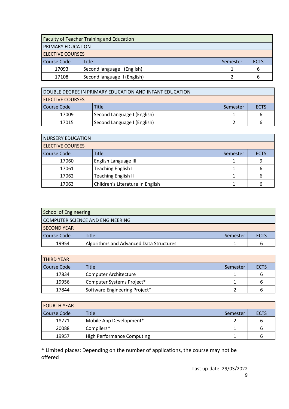| <b>Faculty of Teacher Training and Education</b> |                              |          |             |  |
|--------------------------------------------------|------------------------------|----------|-------------|--|
| PRIMARY EDUCATION                                |                              |          |             |  |
| <b>ELECTIVE COURSES</b>                          |                              |          |             |  |
| Course Code                                      | <b>Title</b>                 | Semester | <b>ECTS</b> |  |
| 17093                                            | Second language I (English)  |          | 6           |  |
| 17108                                            | Second language II (English) |          | ь           |  |

| DOUBLE DEGREE IN PRIMARY EDUCATION AND INFANT EDUCATION |                             |          |      |  |
|---------------------------------------------------------|-----------------------------|----------|------|--|
| <b>ELECTIVE COURSES</b>                                 |                             |          |      |  |
| Course Code                                             | Title                       | Semester | ECTS |  |
| 17009                                                   | Second Language I (English) |          |      |  |
| 17015                                                   | Second Language I (English) |          |      |  |

| <b>NURSERY EDUCATION</b> |                                  |          |             |  |
|--------------------------|----------------------------------|----------|-------------|--|
| <b>ELECTIVE COURSES</b>  |                                  |          |             |  |
| <b>Course Code</b>       | Title                            | Semester | <b>ECTS</b> |  |
| 17060                    | English Language III             |          |             |  |
| 17061                    | Teaching English I               |          |             |  |
| 17062                    | <b>Teaching English II</b>       |          |             |  |
| 17063                    | Children's Literature In English |          |             |  |

| School of Engineering            |                                         |          |             |  |
|----------------------------------|-----------------------------------------|----------|-------------|--|
| COMPUTER SCIENCE AND ENGINEERING |                                         |          |             |  |
| <b>SECOND YEAR</b>               |                                         |          |             |  |
| Course Code                      | Title                                   | Semester | <b>ECTS</b> |  |
| 19954                            | Algorithms and Advanced Data Structures |          | h           |  |

| <b>THIRD YEAR</b>  |                               |          |             |
|--------------------|-------------------------------|----------|-------------|
| <b>Course Code</b> | Title                         | Semester | <b>ECTS</b> |
| 17834              | <b>Computer Architecture</b>  |          |             |
| 19956              | Computer Systems Project*     |          |             |
| 17844              | Software Engineering Project* |          |             |

| <b>FOURTH YEAR</b> |                                   |          |             |
|--------------------|-----------------------------------|----------|-------------|
| Course Code        | Title                             | Semester | <b>ECTS</b> |
| 18771              | Mobile App Development*           |          | ь           |
| 20088              | Compilers*                        |          | ь           |
| 19957              | <b>High Performance Computing</b> |          | h           |

\* Limited places: Depending on the number of applications, the course may not be offered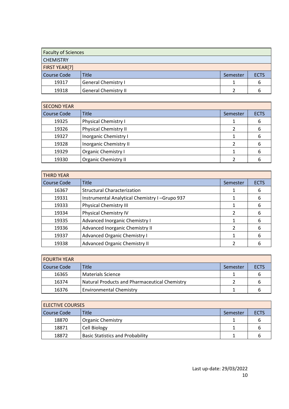| <b>Faculty of Sciences</b> |                             |          |             |
|----------------------------|-----------------------------|----------|-------------|
| <b>CHEMISTRY</b>           |                             |          |             |
| <b>FIRST YEAR[7]</b>       |                             |          |             |
| <b>Course Code</b>         | <b>Title</b>                | Semester | <b>ECTS</b> |
| 19317                      | <b>General Chemistry I</b>  |          |             |
| 19318                      | <b>General Chemistry II</b> |          |             |

| <b>SECOND YEAR</b> |                               |          |             |
|--------------------|-------------------------------|----------|-------------|
| <b>Course Code</b> | <b>Title</b>                  | Semester | <b>ECTS</b> |
| 19325              | <b>Physical Chemistry I</b>   |          | 6           |
| 19326              | <b>Physical Chemistry II</b>  |          | 6           |
| 19327              | Inorganic Chemistry I         |          | 6           |
| 19328              | <b>Inorganic Chemistry II</b> |          | 6           |
| 19329              | <b>Organic Chemistry I</b>    |          | 6           |
| 19330              | <b>Organic Chemistry II</b>   |          |             |

| <b>THIRD YEAR</b>  |                                               |          |             |
|--------------------|-----------------------------------------------|----------|-------------|
| <b>Course Code</b> | <b>Title</b>                                  | Semester | <b>ECTS</b> |
| 16367              | <b>Structural Characterization</b>            |          | 6           |
| 19331              | Instrumental Analytical Chemistry I-Grupo 937 |          | 6           |
| 19333              | <b>Physical Chemistry III</b>                 |          | 6           |
| 19334              | Physical Chemistry IV                         | 2        | 6           |
| 19335              | Advanced Inorganic Chemistry I                |          | 6           |
| 19336              | Advanced Inorganic Chemistry II               |          | 6           |
| 19337              | <b>Advanced Organic Chemistry I</b>           | 1        | 6           |
| 19338              | Advanced Organic Chemistry II                 |          |             |

| I FOURTH YEAR |                                               |          |             |  |
|---------------|-----------------------------------------------|----------|-------------|--|
| Course Code   | <b>Title</b>                                  | Semester | <b>ECTS</b> |  |
| 16365         | <b>Materials Science</b>                      |          |             |  |
| 16374         | Natural Products and Pharmaceutical Chemistry |          |             |  |
| 16376         | <b>Environmental Chemistry</b>                |          |             |  |

| <b>ELECTIVE COURSES</b> |                                         |          |             |  |
|-------------------------|-----------------------------------------|----------|-------------|--|
| <b>Course Code</b>      | <b>Title</b>                            | Semester | <b>ECTS</b> |  |
| 18870                   | <b>Organic Chemistry</b>                |          |             |  |
| 18871                   | Cell Biology                            |          |             |  |
| 18872                   | <b>Basic Statistics and Probability</b> |          |             |  |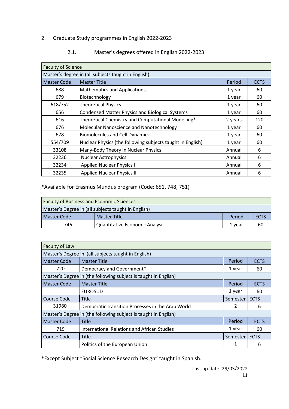#### 2. Graduate Study programmes in English 2022-2023

| <b>Faculty of Science</b>                           |                                                            |         |             |  |
|-----------------------------------------------------|------------------------------------------------------------|---------|-------------|--|
| Master's degree in (all subjects taught in English) |                                                            |         |             |  |
| <b>Master Code</b>                                  | <b>Master Title</b>                                        | Period  | <b>ECTS</b> |  |
| 688                                                 | <b>Mathematics and Applications</b>                        | 1 year  | 60          |  |
| 679                                                 | Biotechnology                                              | 1 year  | 60          |  |
| 618/752                                             | <b>Theoretical Physics</b>                                 | 1 year  | 60          |  |
| 656                                                 | <b>Condensed Matter Physics and Biological Systems</b>     | 1 year  | 60          |  |
| 616                                                 | Theoretical Chemistry and Computational Modelling*         | 2 years | 120         |  |
| 676                                                 | Molecular Nanoscience and Nanotechnology                   | 1 year  | 60          |  |
| 678                                                 | <b>Biomolecules and Cell Dynamics</b>                      | 1 year  | 60          |  |
| 554/709                                             | Nuclear Physics (the following subjects taught in English) | 1 year  | 60          |  |
| 33108                                               | Many-Body Theory in Nuclear Physics                        | Annual  | 6           |  |
| 32236                                               | <b>Nuclear Astrophysics</b>                                | Annual  | 6           |  |
| 32234                                               | <b>Applied Nuclear Physics I</b>                           | Annual  | 6           |  |
| 32235                                               | <b>Applied Nuclear Physics II</b>                          | Annual  | 6           |  |

#### 2.1. Master's degrees offered in English 2022-2023

\*Available for Erasmus Mundus program (Code: 651, 748, 751)

| <b>Faculty of Business and Economic Sciences</b>             |  |  |  |  |  |  |
|--------------------------------------------------------------|--|--|--|--|--|--|
| Master's Degree in (all subjects taught in English)          |  |  |  |  |  |  |
| Master Title<br>Master Code<br>Period<br><b>ECTS</b>         |  |  |  |  |  |  |
| <b>Quantitative Economic Analysis</b><br>746<br>60<br>1 vear |  |  |  |  |  |  |

| Faculty of Law                                      |                                                                 |          |             |  |
|-----------------------------------------------------|-----------------------------------------------------------------|----------|-------------|--|
| Master's Degree in (all subjects taught in English) |                                                                 |          |             |  |
| Master Code                                         | <b>Master Title</b>                                             | Period   | <b>ECTS</b> |  |
| 720                                                 | Democracy and Government*                                       | 1 year   | 60          |  |
|                                                     | Master's Degree in (the following subject is taught in English) |          |             |  |
| <b>Master Code</b>                                  | <b>Master Title</b>                                             | Period   | <b>ECTS</b> |  |
|                                                     | <b>EUROSUD</b>                                                  | 1 year   | 60          |  |
| Course Code                                         | Title                                                           | Semester | <b>ECTS</b> |  |
| 31980                                               | Democratic transition Processes in the Arab World               |          | 6           |  |
|                                                     | Master's Degree in (the following subject is taught in English) |          |             |  |
| <b>Master Code</b>                                  | Title                                                           | Period   | <b>ECTS</b> |  |
| 719                                                 | International Relations and African Studies                     | 1 year   | 60          |  |
| Course Code                                         | Title                                                           | Semester | <b>ECTS</b> |  |
|                                                     | Politics of the European Union                                  |          | 6           |  |

\*Except Subject "Social Science Research Design" taught in Spanish.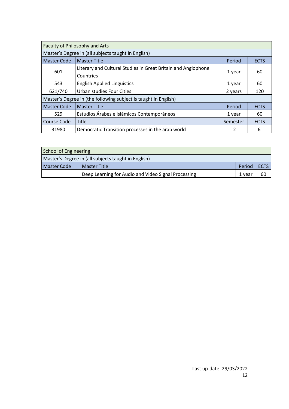| Faculty of Philosophy and Arts                                    |                                                                            |                       |             |  |  |  |
|-------------------------------------------------------------------|----------------------------------------------------------------------------|-----------------------|-------------|--|--|--|
|                                                                   | Master's Degree in (all subjects taught in English)                        |                       |             |  |  |  |
| <b>Master Code</b>                                                | <b>Master Title</b>                                                        | Period<br><b>ECTS</b> |             |  |  |  |
| 601                                                               | Literary and Cultural Studies in Great Britain and Anglophone<br>Countries | 1 year                | 60          |  |  |  |
| 543                                                               | <b>English Applied Linguistics</b>                                         | 1 year                | 60          |  |  |  |
| 621/740                                                           | Urban studies Four Cities                                                  | 2 years               | 120         |  |  |  |
|                                                                   | Master's Degree in (the following subject is taught in English)            |                       |             |  |  |  |
| <b>Master Code</b>                                                | <b>Master Title</b>                                                        | Period                | <b>ECTS</b> |  |  |  |
| Estudios Árabes e Islámicos Contemporáneos<br>529<br>60<br>1 year |                                                                            |                       |             |  |  |  |
| Course Code                                                       | Title                                                                      | Semester              | <b>ECTS</b> |  |  |  |
| 31980                                                             | Democratic Transition processes in the arab world                          | 2                     | 6           |  |  |  |

| School of Engineering                               |                                                     |        |             |  |  |
|-----------------------------------------------------|-----------------------------------------------------|--------|-------------|--|--|
| Master's Degree in (all subjects taught in English) |                                                     |        |             |  |  |
| Master Code                                         | Master Title                                        | Period | <b>ECTS</b> |  |  |
|                                                     | Deep Learning for Audio and Video Signal Processing | 1 vear | 60          |  |  |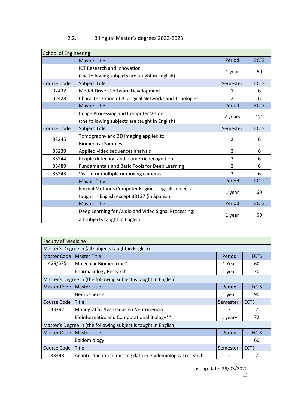| <b>School of Engineering</b> |                                                                                                  |                |             |
|------------------------------|--------------------------------------------------------------------------------------------------|----------------|-------------|
|                              | <b>Master Title</b>                                                                              | Period         | <b>ECTS</b> |
|                              | ICT Research and Innovation<br>(the following subjects are taught in English)                    | 1 year         | 60          |
| <b>Course Code</b>           | Subject Title                                                                                    | Semester       | <b>ECTS</b> |
| 32432                        | Model-Driven Software Development                                                                | 1              | 6           |
| 32428                        | Characterization of Biological Networks and Topologies                                           | $\overline{2}$ | 6           |
|                              | <b>Master Title</b>                                                                              | Period         | <b>ECTS</b> |
|                              | Image Processing and Computer Vision<br>(the following subjects are taught in English)           | 2 years        | 120         |
| <b>Course Code</b>           | Subject Title                                                                                    | Semester       | <b>ECTS</b> |
| 33245                        | Tomography and 3D Imaging applied to<br><b>Biomedical Samples</b>                                | 2              | 6           |
| 33239                        | Applied video sequences analysis                                                                 | $\overline{2}$ | 6           |
| 33244                        | People detection and biometric recognition                                                       | 2              | 6           |
| 33489                        | Fundamentals and Basic Tools for Deep Learning                                                   | 2              | 6           |
| 33243                        | Vision for multiple or moving cameras                                                            | 2              | 6           |
|                              | <b>Master Title</b>                                                                              | Period         | <b>ECTS</b> |
|                              | Formal Methods Computer Engineering: all subjects<br>taught in English except 33137 (in Spanish) | 1 year         | 60          |
|                              | <b>Master Title</b>                                                                              | Period         | <b>ECTS</b> |
|                              | Deep Learning for Audio and Video Signal Processing:<br>all subjects taught in English           | 1 year         | 60          |

#### 2.2. Bilingual Master's degrees 2022-2023

| <b>Faculty of Medicine</b>                          |                                                                 |          |             |  |  |
|-----------------------------------------------------|-----------------------------------------------------------------|----------|-------------|--|--|
| Master's Degree in (all subjects taught in English) |                                                                 |          |             |  |  |
| Master Code                                         | <b>Master Title</b>                                             | Period   | <b>ECTS</b> |  |  |
| 428/675                                             | Molecular Biomedicine*                                          | 1 Year   | 60          |  |  |
|                                                     | <b>Pharmacology Research</b>                                    | 1 year   | 70          |  |  |
|                                                     | Master's Degree in (the following subject is taught in English) |          |             |  |  |
| <b>Master Code</b>                                  | <b>Master Title</b>                                             | Period   | <b>ECTS</b> |  |  |
|                                                     | Neuroscience                                                    | 1 year   | 90          |  |  |
| Course Code                                         | Title                                                           | Semester | <b>ECTS</b> |  |  |
| 33392                                               | Monografías Avanzadas en Neurociencia                           | 2        | 2           |  |  |
|                                                     | Bioinformatics and Computational Biology**                      | 1 year+  | 72          |  |  |
|                                                     | Master's Degree in (the following subject is taught in English) |          |             |  |  |
| <b>Master Code</b>                                  | <b>Master Title</b>                                             | Period   | <b>ECTS</b> |  |  |
|                                                     | Epidemiology                                                    |          | 60          |  |  |
| Course Code                                         | Title                                                           | Semester | <b>ECTS</b> |  |  |
| 33348                                               | An introduction to missing data in epidemiological research     | 2        | 2           |  |  |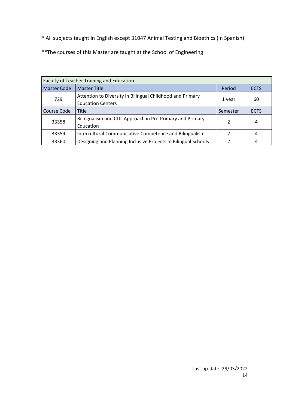\* All subjects taught in English except 31047 Animal Testing and Bioethics (in Spanish)

\*\*The courses of this Master are taught at the School of Engineering

| <b>Faculty of Teacher Training and Education</b> |                                                                |          |             |  |
|--------------------------------------------------|----------------------------------------------------------------|----------|-------------|--|
| <b>Master Code</b>                               | <b>Master Title</b>                                            | Period   | <b>ECTS</b> |  |
| 729                                              | Attention to Diversity in Bilingual Childhood and Primary      | 1 year   | 60          |  |
|                                                  | <b>Education Centers</b>                                       |          |             |  |
| Course Code                                      | <b>Title</b>                                                   | Semester | <b>ECTS</b> |  |
| 33358                                            | Bilingualism and CLIL Approach in Pre-Primary and Primary      | 2        | 4           |  |
|                                                  | Education                                                      |          |             |  |
| 33359                                            | Intercultural Communicative Competence and Bilingualism        |          | 4           |  |
| 33360                                            | Designing and Planning Inclusive Projects in Bilingual Schools |          |             |  |